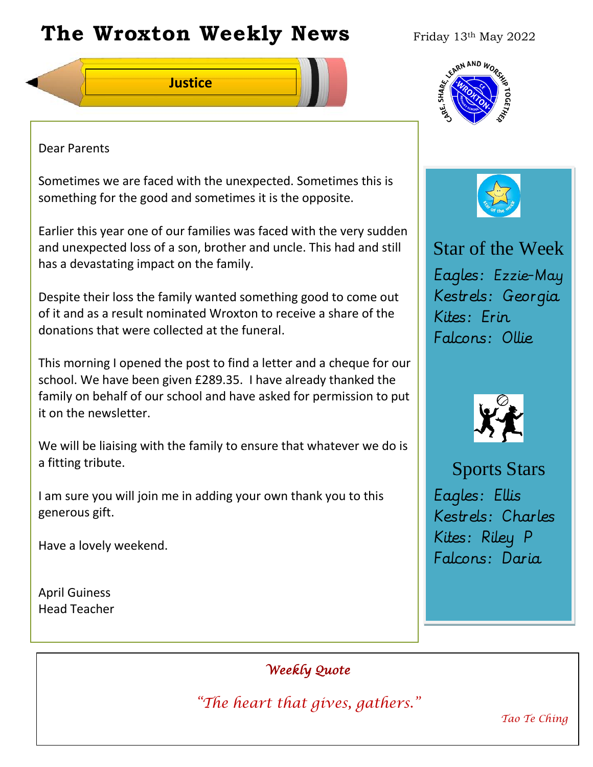# **The Wroxton Weekly News** Friday 13th May 2022



### Dear Parents

Sometimes we are faced with the unexpected. Sometimes this is something for the good and sometimes it is the opposite.

Earlier this year one of our families was faced with the very sudden and unexpected loss of a son, brother and uncle. This had and still has a devastating impact on the family.

Despite their loss the family wanted something good to come out of it and as a result nominated Wroxton to receive a share of the donations that were collected at the funeral.

This morning I opened the post to find a letter and a cheque for our school. We have been given £289.35. I have already thanked the family on behalf of our school and have asked for permission to put it on the newsletter.

We will be liaising with the family to ensure that whatever we do is a fitting tribute.

I am sure you will join me in adding your own thank you to this generous gift.

**Fall Festival**

Have a lovely weekend.

April Guiness Head Teacher





# Star of the Week Eagles: Ezzie-May Kestrels: Georgia Kites: Erin Falcons: Ollie



Sports Stars Eagles: Ellis Kestrels: Charles Kites: Riley P Falcons: Daria

*Weekly Quote* 

*"The heart that gives, gathers."* 

**PTA** 

**New York 1989** 

**Teacher Day**

*Tao Te Ching*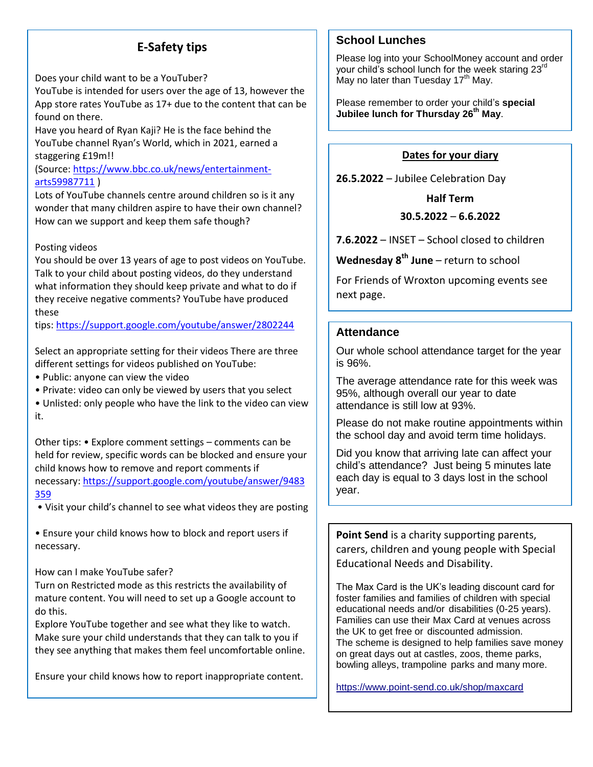# **E-Safety tips**

Does your child want to be a YouTuber?

YouTube is intended for users over the age of 13, however the App store rates YouTube as 17+ due to the content that can be found on there.

Have you heard of Ryan Kaji? He is the face behind the YouTube channel Ryan's World, which in 2021, earned a staggering £19m!!

#### (Source: [https://www.bbc.co.uk/news/entertainment](https://www.bbc.co.uk/news/entertainment-arts59987711)[arts59987711](https://www.bbc.co.uk/news/entertainment-arts59987711) )

Lots of YouTube channels centre around children so is it any wonder that many children aspire to have their own channel? How can we support and keep them safe though?

#### Posting videos

You should be over 13 years of age to post videos on YouTube. Talk to your child about posting videos, do they understand what information they should keep private and what to do if they receive negative comments? YouTube have produced these

tips: <https://support.google.com/youtube/answer/2802244>

Select an appropriate setting for their videos There are three different settings for videos published on YouTube:

- Public: anyone can view the video
- Private: video can only be viewed by users that you select

• Unlisted: only people who have the link to the video can view it.

Other tips: • Explore comment settings – comments can be held for review, specific words can be blocked and ensure your child knows how to remove and report comments if necessary: [https://support.google.com/youtube/answer/9483](https://support.google.com/youtube/answer/9483359) [359](https://support.google.com/youtube/answer/9483359)

• Visit your child's channel to see what videos they are posting

• Ensure your child knows how to block and report users if necessary.

How can I make YouTube safer?

Turn on Restricted mode as this restricts the availability of mature content. You will need to set up a Google account to do this.

Explore YouTube together and see what they like to watch. Make sure your child understands that they can talk to you if they see anything that makes them feel uncomfortable online.

Ensure your child knows how to report inappropriate content.

#### **School Lunches**

Please log into your SchoolMoney account and order your child's school lunch for the week staring 23<sup>rd</sup> .<br>May no later than Tuesday 17<sup>th</sup> May.

Please remember to order your child's **special Jubilee lunch for Thursday 26th May**.

#### **Dates for your diary**

**26.5.2022** – Jubilee Celebration Day

**Half Term 30.5.2022** – **6.6.2022**

**7.6.2022** – INSET – School closed to children

**Wednesday 8th June** – return to school

For Friends of Wroxton upcoming events see next page.

#### **Attendance**

Our whole school attendance target for the year is 96%.

The average attendance rate for this week was 95%, although overall our year to date attendance is still low at 93%.

Please do not make routine appointments within the school day and avoid term time holidays.

Did you know that arriving late can affect your child's attendance? Just being 5 minutes late each day is equal to 3 days lost in the school year.

**Point Send** is a charity supporting parents, carers, children and young people with Special Educational Needs and Disability.

The Max Card is the UK's leading discount card for foster families and families of children with special educational needs and/or disabilities (0-25 years). Families can use their Max Card at venues across the UK to get free or discounted admission. The scheme is designed to help families save money on great days out at castles, zoos, theme parks, bowling alleys, trampoline parks and many more.

<https://www.point-send.co.uk/shop/maxcard>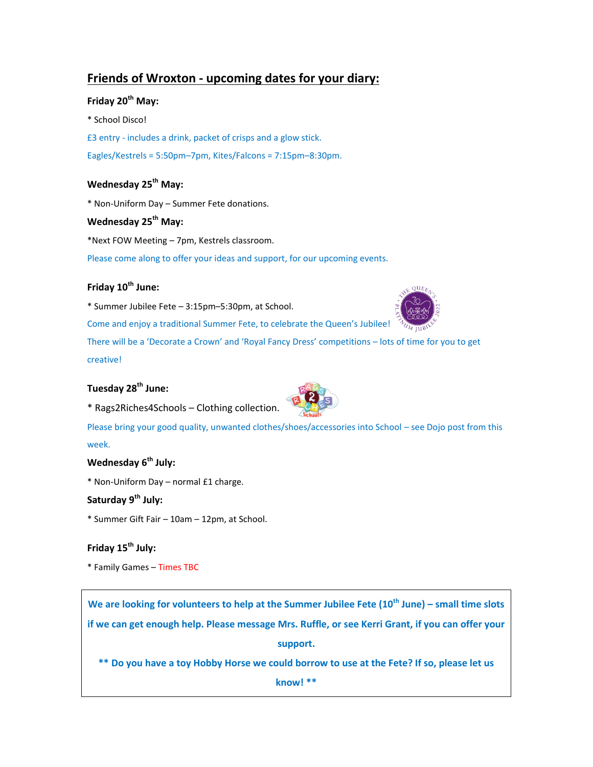## **Friends of Wroxton - upcoming dates for your diary:**

#### **Friday 20th May:**

\* School Disco! £3 entry - includes a drink, packet of crisps and a glow stick. Eagles/Kestrels = 5:50pm–7pm, Kites/Falcons = 7:15pm–8:30pm.

#### **Wednesday 25th May:**

\* Non-Uniform Day – Summer Fete donations.

#### **Wednesday 25th May:**

\*Next FOW Meeting – 7pm, Kestrels classroom.

Please come along to offer your ideas and support, for our upcoming events.

#### **Friday 10th June:**

\* Summer Jubilee Fete – 3:15pm–5:30pm, at School.

Come and enjoy a traditional Summer Fete, to celebrate the Queen's Jubilee!

There will be a 'Decorate a Crown' and 'Royal Fancy Dress' competitions – lots of time for you to get creative!

#### **Tuesday 28th June:**

\* Rags2Riches4Schools – Clothing collection.



#### **Wednesday 6th July:**

\* Non-Uniform Day – normal £1 charge.

#### **Saturday 9th July:**

\* Summer Gift Fair – 10am – 12pm, at School.

#### **Friday 15th July:**

\* Family Games – Times TBC

**We are looking for volunteers to help at the Summer Jubilee Fete (10th June) – small time slots if we can get enough help. Please message Mrs. Ruffle, or see Kerri Grant, if you can offer your support.**

**\*\* Do you have a toy Hobby Horse we could borrow to use at the Fete? If so, please let us** 

**know! \*\***